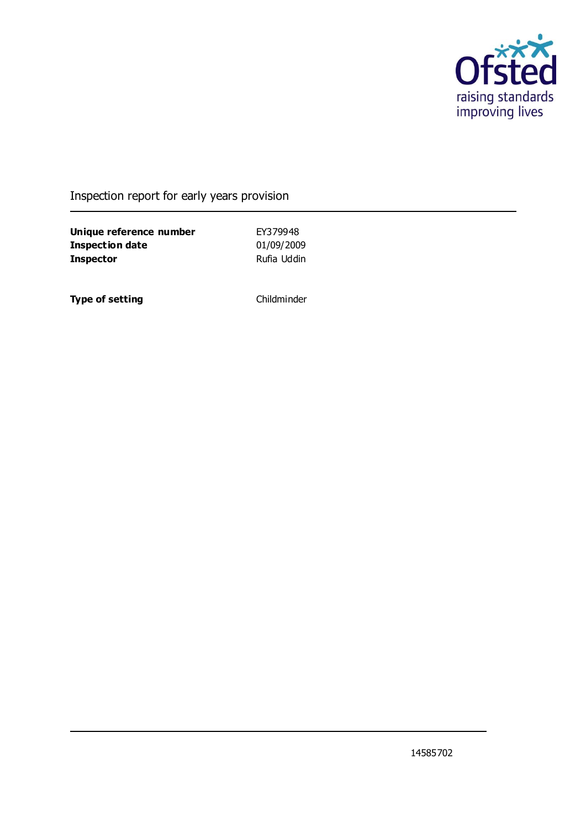

### Inspection report for early years provision

**Unique reference number** EY379948<br> **Inspection date** 01/09/2009 **Inspection date Inspector** Rufia Uddin

**Type of setting** Childminder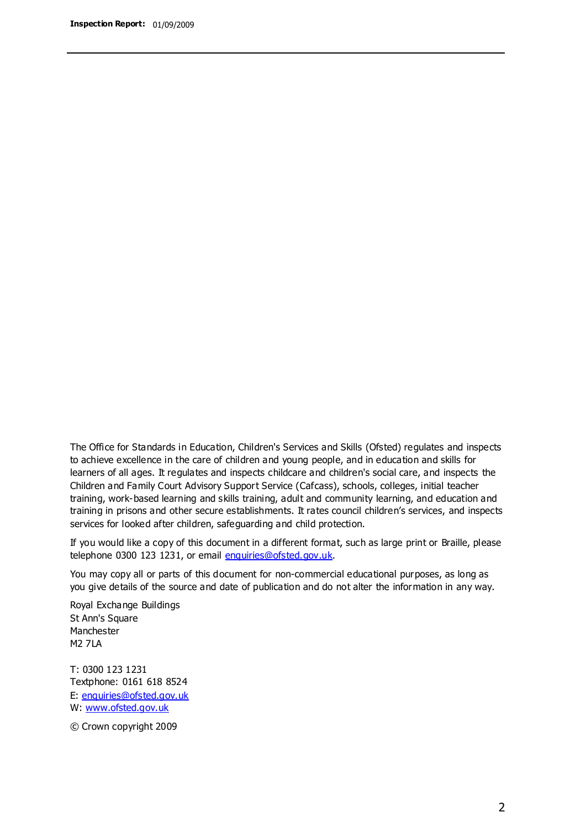The Office for Standards in Education, Children's Services and Skills (Ofsted) regulates and inspects to achieve excellence in the care of children and young people, and in education and skills for learners of all ages. It regulates and inspects childcare and children's social care, and inspects the Children and Family Court Advisory Support Service (Cafcass), schools, colleges, initial teacher training, work-based learning and skills training, adult and community learning, and education and training in prisons and other secure establishments. It rates council children's services, and inspects services for looked after children, safeguarding and child protection.

If you would like a copy of this document in a different format, such as large print or Braille, please telephone 0300 123 1231, or email enquiries@ofsted.gov.uk.

You may copy all or parts of this document for non-commercial educational purposes, as long as you give details of the source and date of publication and do not alter the information in any way.

Royal Exchange Buildings St Ann's Square Manchester M2 7LA

T: 0300 123 1231 Textphone: 0161 618 8524 E: enquiries@ofsted.gov.uk W: [www.ofsted.gov.uk](http://www.ofsted.gov.uk/)

© Crown copyright 2009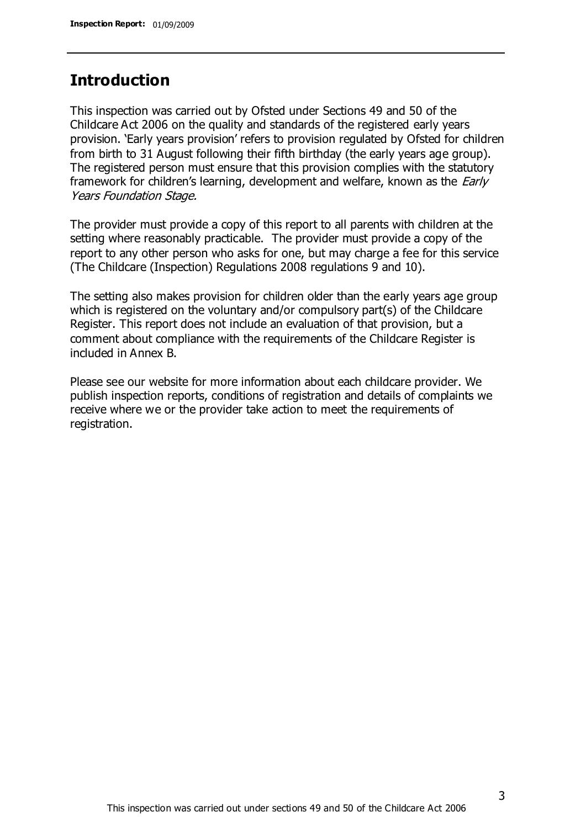## **Introduction**

This inspection was carried out by Ofsted under Sections 49 and 50 of the Childcare Act 2006 on the quality and standards of the registered early years provision. 'Early years provision' refers to provision regulated by Ofsted for children from birth to 31 August following their fifth birthday (the early years age group). The registered person must ensure that this provision complies with the statutory framework for children's learning, development and welfare, known as the *Early* Years Foundation Stage.

The provider must provide a copy of this report to all parents with children at the setting where reasonably practicable. The provider must provide a copy of the report to any other person who asks for one, but may charge a fee for this service (The Childcare (Inspection) Regulations 2008 regulations 9 and 10).

The setting also makes provision for children older than the early years age group which is registered on the voluntary and/or compulsory part(s) of the Childcare Register. This report does not include an evaluation of that provision, but a comment about compliance with the requirements of the Childcare Register is included in Annex B.

Please see our website for more information about each childcare provider. We publish inspection reports, conditions of registration and details of complaints we receive where we or the provider take action to meet the requirements of registration.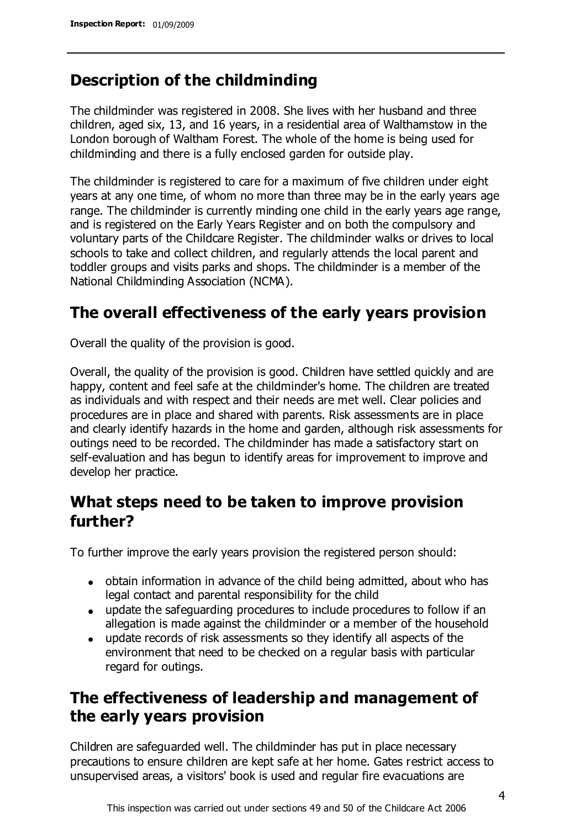# **Description of the childminding**

The childminder was registered in 2008. She lives with her husband and three children, aged six, 13, and 16 years, in a residential area of Walthamstow in the London borough of Waltham Forest. The whole of the home is being used for childminding and there is a fully enclosed garden for outside play.

The childminder is registered to care for a maximum of five children under eight years at any one time, of whom no more than three may be in the early years age range. The childminder is currently minding one child in the early years age range, and is registered on the Early Years Register and on both the compulsory and voluntary parts of the Childcare Register. The childminder walks or drives to local schools to take and collect children, and regularly attends the local parent and toddler groups and visits parks and shops. The childminder is a member of the National Childminding Association (NCMA).

# **The overall effectiveness of the early years provision**

Overall the quality of the provision is good.

Overall, the quality of the provision is good. Children have settled quickly and are happy, content and feel safe at the childminder's home. The children are treated as individuals and with respect and their needs are met well. Clear policies and procedures are in place and shared with parents. Risk assessments are in place and clearly identify hazards in the home and garden, although risk assessments for outings need to be recorded. The childminder has made a satisfactory start on self-evaluation and has begun to identify areas for improvement to improve and develop her practice.

# **What steps need to be taken to improve provision further?**

To further improve the early years provision the registered person should:

- obtain information in advance of the child being admitted, about who has legal contact and parental responsibility for the child
- update the safeguarding procedures to include procedures to follow if an allegation is made against the childminder or a member of the household
- update records of risk assessments so they identify all aspects of the environment that need to be checked on a regular basis with particular regard for outings.

# **The effectiveness of leadership and management of the early years provision**

Children are safeguarded well. The childminder has put in place necessary precautions to ensure children are kept safe at her home. Gates restrict access to unsupervised areas, a visitors' book is used and regular fire evacuations are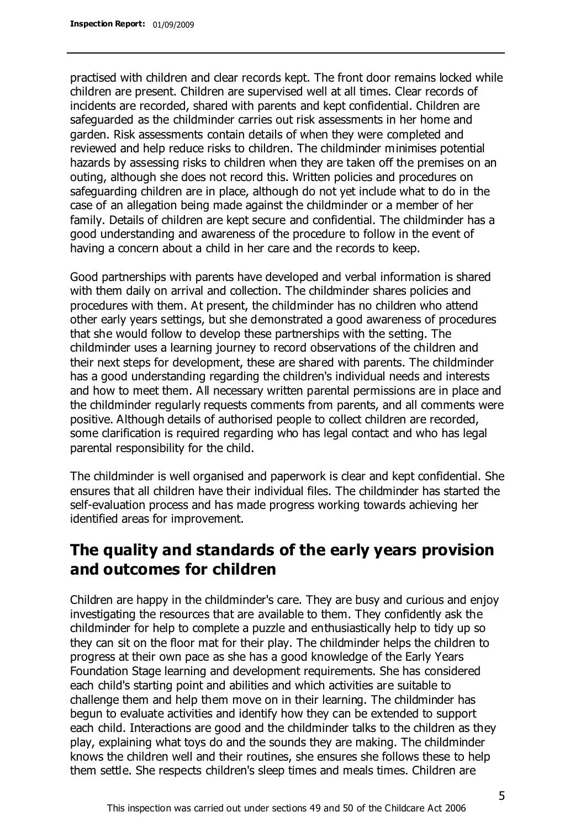practised with children and clear records kept. The front door remains locked while children are present. Children are supervised well at all times. Clear records of incidents are recorded, shared with parents and kept confidential. Children are safeguarded as the childminder carries out risk assessments in her home and garden. Risk assessments contain details of when they were completed and reviewed and help reduce risks to children. The childminder minimises potential hazards by assessing risks to children when they are taken off the premises on an outing, although she does not record this. Written policies and procedures on safeguarding children are in place, although do not yet include what to do in the case of an allegation being made against the childminder or a member of her family. Details of children are kept secure and confidential. The childminder has a good understanding and awareness of the procedure to follow in the event of having a concern about a child in her care and the records to keep.

Good partnerships with parents have developed and verbal information is shared with them daily on arrival and collection. The childminder shares policies and procedures with them. At present, the childminder has no children who attend other early years settings, but she demonstrated a good awareness of procedures that she would follow to develop these partnerships with the setting. The childminder uses a learning journey to record observations of the children and their next steps for development, these are shared with parents. The childminder has a good understanding regarding the children's individual needs and interests and how to meet them. All necessary written parental permissions are in place and the childminder regularly requests comments from parents, and all comments were positive. Although details of authorised people to collect children are recorded, some clarification is required regarding who has legal contact and who has legal parental responsibility for the child.

The childminder is well organised and paperwork is clear and kept confidential. She ensures that all children have their individual files. The childminder has started the self-evaluation process and has made progress working towards achieving her identified areas for improvement.

# **The quality and standards of the early years provision and outcomes for children**

Children are happy in the childminder's care. They are busy and curious and enjoy investigating the resources that are available to them. They confidently ask the childminder for help to complete a puzzle and enthusiastically help to tidy up so they can sit on the floor mat for their play. The childminder helps the children to progress at their own pace as she has a good knowledge of the Early Years Foundation Stage learning and development requirements. She has considered each child's starting point and abilities and which activities are suitable to challenge them and help them move on in their learning. The childminder has begun to evaluate activities and identify how they can be extended to support each child. Interactions are good and the childminder talks to the children as they play, explaining what toys do and the sounds they are making. The childminder knows the children well and their routines, she ensures she follows these to help them settle. She respects children's sleep times and meals times. Children are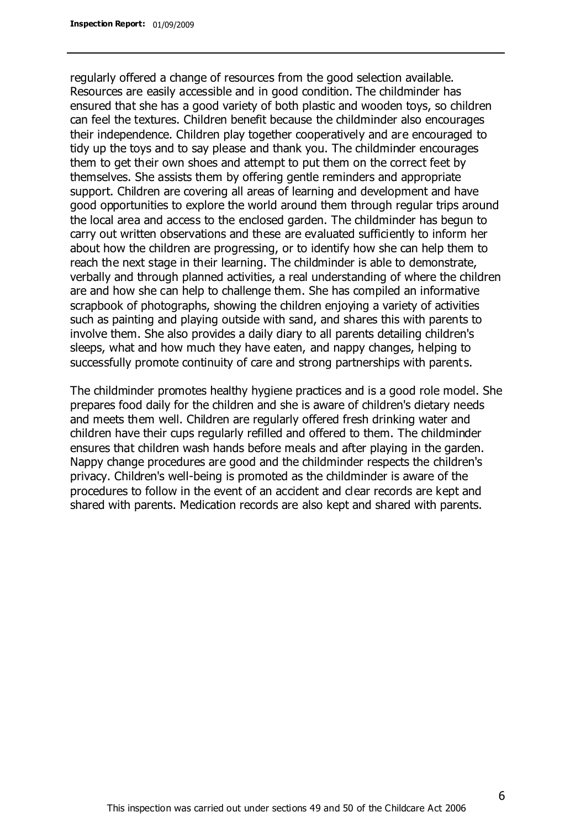regularly offered a change of resources from the good selection available. Resources are easily accessible and in good condition. The childminder has ensured that she has a good variety of both plastic and wooden toys, so children can feel the textures. Children benefit because the childminder also encourages their independence. Children play together cooperatively and are encouraged to tidy up the toys and to say please and thank you. The childminder encourages them to get their own shoes and attempt to put them on the correct feet by themselves. She assists them by offering gentle reminders and appropriate support. Children are covering all areas of learning and development and have good opportunities to explore the world around them through regular trips around the local area and access to the enclosed garden. The childminder has begun to carry out written observations and these are evaluated sufficiently to inform her about how the children are progressing, or to identify how she can help them to reach the next stage in their learning. The childminder is able to demonstrate, verbally and through planned activities, a real understanding of where the children are and how she can help to challenge them. She has compiled an informative scrapbook of photographs, showing the children enjoying a variety of activities such as painting and playing outside with sand, and shares this with parents to involve them. She also provides a daily diary to all parents detailing children's sleeps, what and how much they have eaten, and nappy changes, helping to successfully promote continuity of care and strong partnerships with parents.

The childminder promotes healthy hygiene practices and is a good role model. She prepares food daily for the children and she is aware of children's dietary needs and meets them well. Children are regularly offered fresh drinking water and children have their cups regularly refilled and offered to them. The childminder ensures that children wash hands before meals and after playing in the garden. Nappy change procedures are good and the childminder respects the children's privacy. Children's well-being is promoted as the childminder is aware of the procedures to follow in the event of an accident and clear records are kept and shared with parents. Medication records are also kept and shared with parents.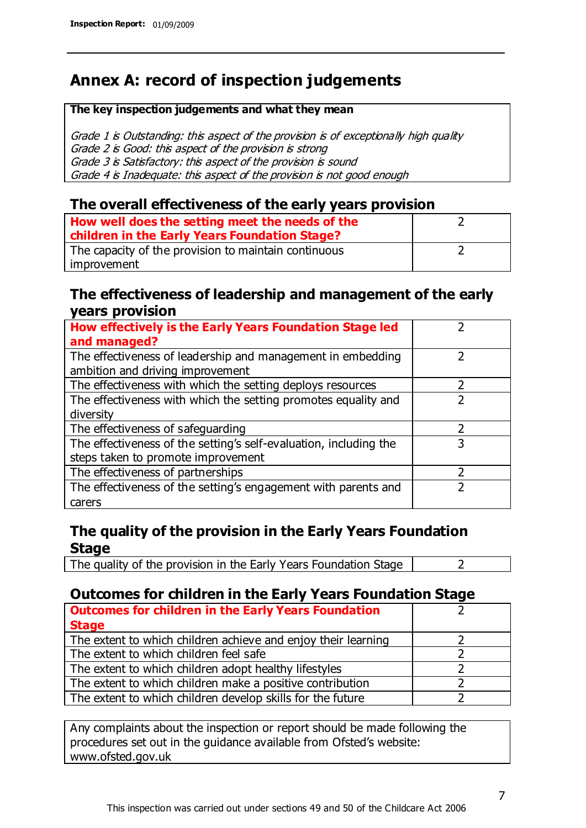# **Annex A: record of inspection judgements**

#### **The key inspection judgements and what they mean**

Grade 1 is Outstanding: this aspect of the provision is of exceptionally high quality Grade 2 is Good: this aspect of the provision is strong Grade 3 is Satisfactory: this aspect of the provision is sound Grade 4 is Inadequate: this aspect of the provision is not good enough

### **The overall effectiveness of the early years provision**

| How well does the setting meet the needs of the<br>children in the Early Years Foundation Stage? |  |
|--------------------------------------------------------------------------------------------------|--|
| The capacity of the provision to maintain continuous                                             |  |
| improvement                                                                                      |  |

### **The effectiveness of leadership and management of the early years provision**

| How effectively is the Early Years Foundation Stage led                                         |   |
|-------------------------------------------------------------------------------------------------|---|
| and managed?                                                                                    |   |
| The effectiveness of leadership and management in embedding<br>ambition and driving improvement |   |
| The effectiveness with which the setting deploys resources                                      |   |
| The effectiveness with which the setting promotes equality and                                  |   |
| diversity                                                                                       |   |
| The effectiveness of safeguarding                                                               | フ |
| The effectiveness of the setting's self-evaluation, including the                               | 3 |
| steps taken to promote improvement                                                              |   |
| The effectiveness of partnerships                                                               |   |
| The effectiveness of the setting's engagement with parents and                                  |   |
| carers                                                                                          |   |

### **The quality of the provision in the Early Years Foundation Stage**

The quality of the provision in the Early Years Foundation Stage  $\vert$  2

### **Outcomes for children in the Early Years Foundation Stage**

| <b>Outcomes for children in the Early Years Foundation</b>    |  |
|---------------------------------------------------------------|--|
| <b>Stage</b>                                                  |  |
| The extent to which children achieve and enjoy their learning |  |
| The extent to which children feel safe                        |  |
| The extent to which children adopt healthy lifestyles         |  |
| The extent to which children make a positive contribution     |  |
| The extent to which children develop skills for the future    |  |

Any complaints about the inspection or report should be made following the procedures set out in the guidance available from Ofsted's website: www.ofsted.gov.uk